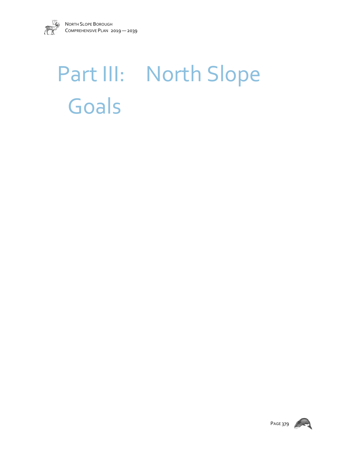

**R** 

# Part III: North Slope Goals

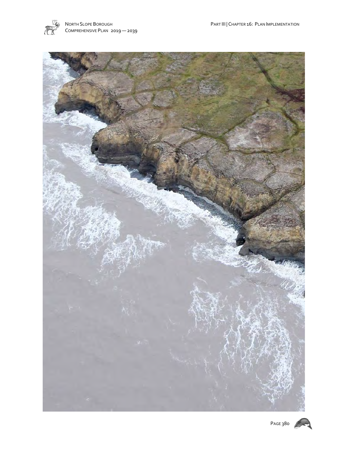

Å



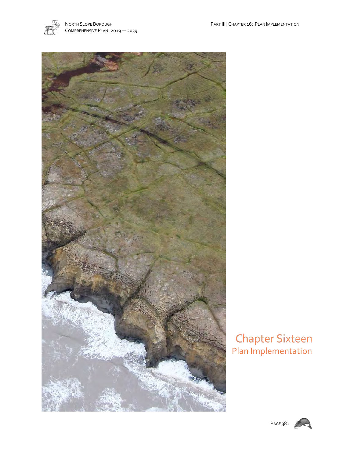



# **Chapter Sixteen** Plan Implementation

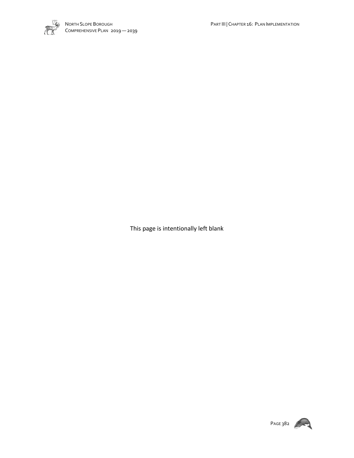

This page is intentionally left blank

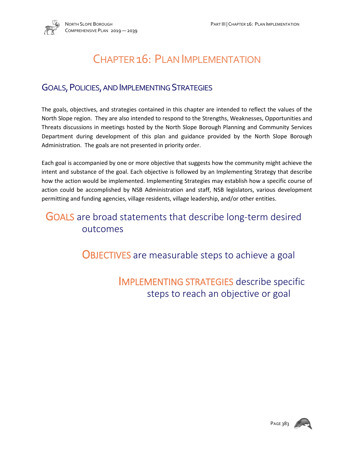

# CHAPTER 16: PLAN IMPLEMENTATION

# GOALS,POLICIES,AND IMPLEMENTING STRATEGIES

The goals, objectives, and strategies contained in this chapter are intended to reflect the values of the North Slope region. They are also intended to respond to the Strengths, Weaknesses, Opportunities and Threats discussions in meetings hosted by the North Slope Borough Planning and Community Services Department during development of this plan and guidance provided by the North Slope Borough Administration. The goals are not presented in priority order.

Each goal is accompanied by one or more objective that suggests how the community might achieve the intent and substance of the goal. Each objective is followed by an Implementing Strategy that describe how the action would be implemented. Implementing Strategies may establish how a specific course of action could be accomplished by NSB Administration and staff, NSB legislators, various development permitting and funding agencies, village residents, village leadership, and/or other entities.

# GOALS are broad statements that describe long-term desired outcomes

OBJECTIVES are measurable steps to achieve a goal

IMPLEMENTING STRATEGIES describe specific steps to reach an objective or goal

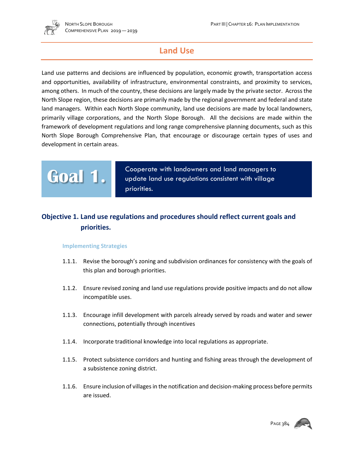# **Land Use**

Land use patterns and decisions are influenced by population, economic growth, transportation access and opportunities, availability of infrastructure, environmental constraints, and proximity to services, among others. In much of the country, these decisions are largely made by the private sector. Across the North Slope region, these decisions are primarily made by the regional government and federal and state land managers. Within each North Slope community, land use decisions are made by local landowners, primarily village corporations, and the North Slope Borough. All the decisions are made within the framework of development regulations and long range comprehensive planning documents, such as this North Slope Borough Comprehensive Plan, that encourage or discourage certain types of uses and development in certain areas.

**Goal 1.** Cooperate with landowners and land managers to update land use regulations consistent with village update land use regulations consistent with village priorities.

# **Objective 1. Land use regulations and procedures should reflect current goals and priorities.**

- 1.1.1. Revise the borough's zoning and subdivision ordinances for consistency with the goals of this plan and borough priorities.
- 1.1.2. Ensure revised zoning and land use regulations provide positive impacts and do not allow incompatible uses.
- 1.1.3. Encourage infill development with parcels already served by roads and water and sewer connections, potentially through incentives
- 1.1.4. Incorporate traditional knowledge into local regulations as appropriate.
- 1.1.5. Protect subsistence corridors and hunting and fishing areas through the development of a subsistence zoning district.
- 1.1.6. Ensure inclusion of villages in the notification and decision-making process before permits are issued.

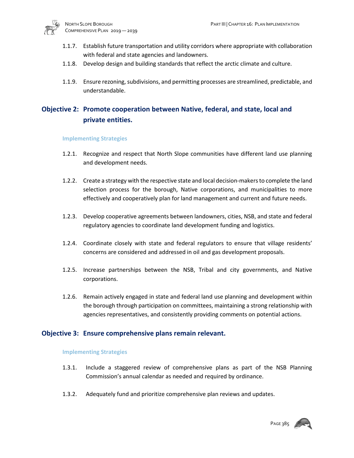

- 1.1.7. Establish future transportation and utility corridors where appropriate with collaboration with federal and state agencies and landowners.
- 1.1.8. Develop design and building standards that reflect the arctic climate and culture.
- 1.1.9. Ensure rezoning, subdivisions, and permitting processes are streamlined, predictable, and understandable.

# **Objective 2: Promote cooperation between Native, federal, and state, local and private entities.**

# **Implementing Strategies**

- 1.2.1. Recognize and respect that North Slope communities have different land use planning and development needs.
- 1.2.2. Create a strategy with the respective state and local decision-makersto complete the land selection process for the borough, Native corporations, and municipalities to more effectively and cooperatively plan for land management and current and future needs.
- 1.2.3. Develop cooperative agreements between landowners, cities, NSB, and state and federal regulatory agencies to coordinate land development funding and logistics.
- 1.2.4. Coordinate closely with state and federal regulators to ensure that village residents' concerns are considered and addressed in oil and gas development proposals.
- 1.2.5. Increase partnerships between the NSB, Tribal and city governments, and Native corporations.
- 1.2.6. Remain actively engaged in state and federal land use planning and development within the borough through participation on committees, maintaining a strong relationship with agencies representatives, and consistently providing comments on potential actions.

# **Objective 3: Ensure comprehensive plans remain relevant.**

- 1.3.1. Include a staggered review of comprehensive plans as part of the NSB Planning Commission's annual calendar as needed and required by ordinance.
- 1.3.2. Adequately fund and prioritize comprehensive plan reviews and updates.

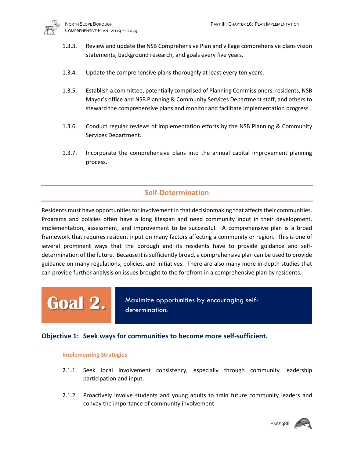

- 1.3.3. Review and update the NSB Comprehensive Plan and village comprehensive plans vision statements, background research, and goals every five years.
- 1.3.4. Update the comprehensive plans thoroughly at least every ten years.
- 1.3.5. Establish a committee, potentially comprised of Planning Commissioners, residents, NSB Mayor's office and NSB Planning & Community Services Department staff, and others to steward the comprehensive plans and monitor and facilitate implementation progress.
- 1.3.6. Conduct regular reviews of implementation efforts by the NSB Planning & Community Services Department.
- 1.3.7. Incorporate the comprehensive plans into the annual capital improvement planning process.

# **Self-Determination**

Residents must have opportunities for involvement in that decisionmaking that affects their communities. Programs and policies often have a long lifespan and need community input in their development, implementation, assessment, and improvement to be successful. A comprehensive plan is a broad framework that requires resident input on many factors affecting a community or region. This is one of several prominent ways that the borough and its residents have to provide guidance and selfdetermination of the future. Because it is sufficiently broad, a comprehensive plan can be used to provide guidance on many regulations, policies, and initiatives. There are also many more in-depth studies that can provide further analysis on issues brought to the forefront in a comprehensive plan by residents.

#### **Goal 2.** Maximize opportunities by encouraging selfdetermination.

# **Objective 1: Seek ways for communities to become more self-sufficient.**

- 2.1.1. Seek local involvement consistency, especially through community leadership participation and input.
- 2.1.2. Proactively involve students and young adults to train future community leaders and convey the importance of community involvement.

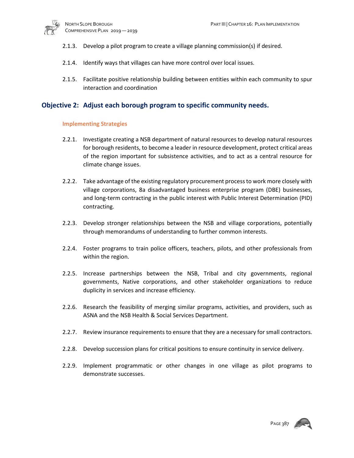

- 2.1.3. Develop a pilot program to create a village planning commission(s) if desired.
- 2.1.4. Identify ways that villages can have more control over local issues.
- 2.1.5. Facilitate positive relationship building between entities within each community to spur interaction and coordination

# **Objective 2: Adjust each borough program to specific community needs.**

- 2.2.1. Investigate creating a NSB department of natural resources to develop natural resources for borough residents, to become a leader in resource development, protect critical areas of the region important for subsistence activities, and to act as a central resource for climate change issues.
- 2.2.2. Take advantage of the existing regulatory procurement process to work more closely with village corporations, 8a disadvantaged business enterprise program (DBE) businesses, and long-term contracting in the public interest with Public Interest Determination (PID) contracting.
- 2.2.3. Develop stronger relationships between the NSB and village corporations, potentially through memorandums of understanding to further common interests.
- 2.2.4. Foster programs to train police officers, teachers, pilots, and other professionals from within the region.
- 2.2.5. Increase partnerships between the NSB, Tribal and city governments, regional governments, Native corporations, and other stakeholder organizations to reduce duplicity in services and increase efficiency.
- 2.2.6. Research the feasibility of merging similar programs, activities, and providers, such as ASNA and the NSB Health & Social Services Department.
- 2.2.7. Review insurance requirements to ensure that they are a necessary for small contractors.
- 2.2.8. Develop succession plans for critical positions to ensure continuity in service delivery.
- 2.2.9. Implement programmatic or other changes in one village as pilot programs to demonstrate successes.

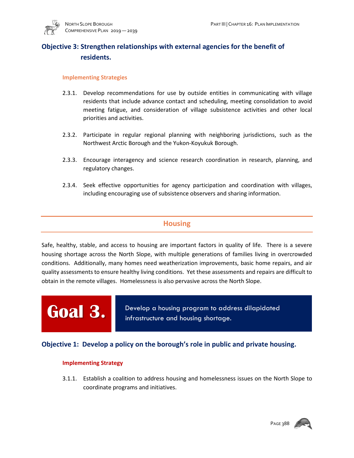# **Objective 3: Strengthen relationships with external agencies for the benefit of residents.**

#### **Implementing Strategies**

- 2.3.1. Develop recommendations for use by outside entities in communicating with village residents that include advance contact and scheduling, meeting consolidation to avoid meeting fatigue, and consideration of village subsistence activities and other local priorities and activities.
- 2.3.2. Participate in regular regional planning with neighboring jurisdictions, such as the Northwest Arctic Borough and the Yukon-Koyukuk Borough.
- 2.3.3. Encourage interagency and science research coordination in research, planning, and regulatory changes.
- 2.3.4. Seek effective opportunities for agency participation and coordination with villages, including encouraging use of subsistence observers and sharing information.

# **Housing**

Safe, healthy, stable, and access to housing are important factors in quality of life. There is a severe housing shortage across the North Slope, with multiple generations of families living in overcrowded conditions. Additionally, many homes need weatherization improvements, basic home repairs, and air quality assessments to ensure healthy living conditions. Yet these assessments and repairs are difficult to obtain in the remote villages. Homelessness is also pervasive across the North Slope.

> Develop a housing program to address dilapidated infrastructure and housing shortage.

# **Objective 1: Develop a policy on the borough's role in public and private housing.**

#### **Implementing Strategy**

**Goal 3.**

3.1.1. Establish a coalition to address housing and homelessness issues on the North Slope to coordinate programs and initiatives.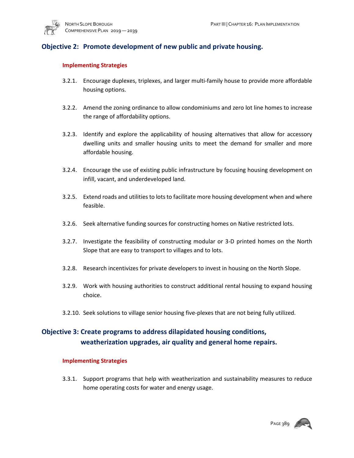# **Objective 2: Promote development of new public and private housing.**

#### **Implementing Strategies**

- 3.2.1. Encourage duplexes, triplexes, and larger multi-family house to provide more affordable housing options.
- 3.2.2. Amend the zoning ordinance to allow condominiums and zero lot line homes to increase the range of affordability options.
- 3.2.3. Identify and explore the applicability of housing alternatives that allow for accessory dwelling units and smaller housing units to meet the demand for smaller and more affordable housing.
- 3.2.4. Encourage the use of existing public infrastructure by focusing housing development on infill, vacant, and underdeveloped land.
- 3.2.5. Extend roads and utilities to lots to facilitate more housing development when and where feasible.
- 3.2.6. Seek alternative funding sources for constructing homes on Native restricted lots.
- 3.2.7. Investigate the feasibility of constructing modular or 3-D printed homes on the North Slope that are easy to transport to villages and to lots.
- 3.2.8. Research incentivizes for private developers to invest in housing on the North Slope.
- 3.2.9. Work with housing authorities to construct additional rental housing to expand housing choice.
- 3.2.10. Seek solutions to village senior housing five-plexes that are not being fully utilized.

# **Objective 3: Create programs to address dilapidated housing conditions, weatherization upgrades, air quality and general home repairs.**

#### **Implementing Strategies**

3.3.1. Support programs that help with weatherization and sustainability measures to reduce home operating costs for water and energy usage.

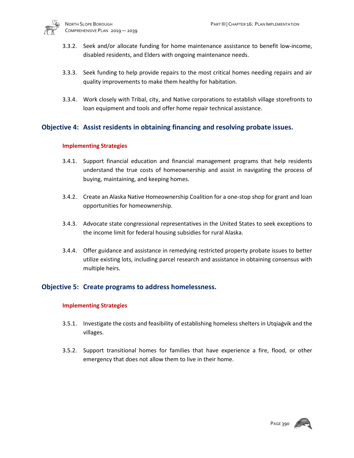

- 3.3.2. Seek and/or allocate funding for home maintenance assistance to benefit low-income, disabled residents, and Elders with ongoing maintenance needs.
- 3.3.3. Seek funding to help provide repairs to the most critical homes needing repairs and air quality improvements to make them healthy for habitation.
- 3.3.4. Work closely with Tribal, city, and Native corporations to establish village storefronts to loan equipment and tools and offer home repair technical assistance.

# **Objective 4: Assist residents in obtaining financing and resolving probate issues.**

#### **Implementing Strategies**

- 3.4.1. Support financial education and financial management programs that help residents understand the true costs of homeownership and assist in navigating the process of buying, maintaining, and keeping homes.
- 3.4.2. Create an Alaska Native Homeownership Coalition for a one-stop shop for grant and loan opportunities for homeownership.
- 3.4.3. Advocate state congressional representatives in the United States to seek exceptions to the income limit for federal housing subsidies for rural Alaska.
- 3.4.4. Offer guidance and assistance in remedying restricted property probate issues to better utilize existing lots, including parcel research and assistance in obtaining consensus with multiple heirs.

# **Objective 5: Create programs to address homelessness.**

- 3.5.1. Investigate the costs and feasibility of establishing homeless shelters in Utqiaġvik and the villages.
- 3.5.2. Support transitional homes for families that have experience a fire, flood, or other emergency that does not allow them to live in their home.

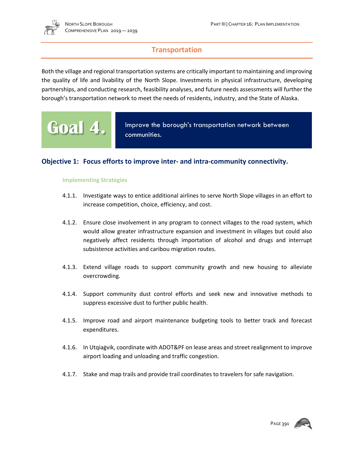

# **Transportation**

Both the village and regional transportation systems are critically important to maintaining and improving the quality of life and livability of the North Slope. Investments in physical infrastructure, developing partnerships, and conducting research, feasibility analyses, and future needs assessments will further the borough's transportation network to meet the needs of residents, industry, and the State of Alaska.

# **Goal 4.**

Improve the borough's transportation network between communities.

# **Objective 1: Focus efforts to improve inter- and intra-community connectivity.**

- 4.1.1. Investigate ways to entice additional airlines to serve North Slope villages in an effort to increase competition, choice, efficiency, and cost.
- 4.1.2. Ensure close involvement in any program to connect villages to the road system, which would allow greater infrastructure expansion and investment in villages but could also negatively affect residents through importation of alcohol and drugs and interrupt subsistence activities and caribou migration routes.
- 4.1.3. Extend village roads to support community growth and new housing to alleviate overcrowding.
- 4.1.4. Support community dust control efforts and seek new and innovative methods to suppress excessive dust to further public health.
- 4.1.5. Improve road and airport maintenance budgeting tools to better track and forecast expenditures.
- 4.1.6. In Utqiaġvik, coordinate with ADOT&PF on lease areas and street realignment to improve airport loading and unloading and traffic congestion.
- 4.1.7. Stake and map trails and provide trail coordinates to travelers for safe navigation.

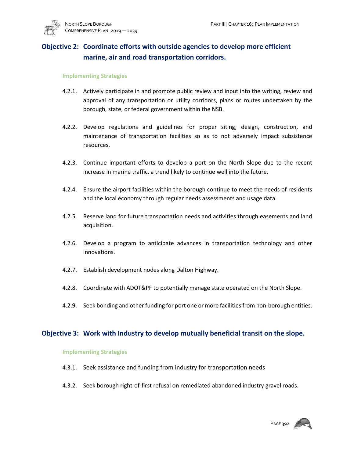

# **Objective 2: Coordinate efforts with outside agencies to develop more efficient marine, air and road transportation corridors.**

# **Implementing Strategies**

- 4.2.1. Actively participate in and promote public review and input into the writing, review and approval of any transportation or utility corridors, plans or routes undertaken by the borough, state, or federal government within the NSB.
- 4.2.2. Develop regulations and guidelines for proper siting, design, construction, and maintenance of transportation facilities so as to not adversely impact subsistence resources.
- 4.2.3. Continue important efforts to develop a port on the North Slope due to the recent increase in marine traffic, a trend likely to continue well into the future.
- 4.2.4. Ensure the airport facilities within the borough continue to meet the needs of residents and the local economy through regular needs assessments and usage data.
- 4.2.5. Reserve land for future transportation needs and activities through easements and land acquisition.
- 4.2.6. Develop a program to anticipate advances in transportation technology and other innovations.
- 4.2.7. Establish development nodes along Dalton Highway.
- 4.2.8. Coordinate with ADOT&PF to potentially manage state operated on the North Slope.
- 4.2.9. Seek bonding and other funding for port one or more facilities from non-borough entities.

# **Objective 3: Work with Industry to develop mutually beneficial transit on the slope.**

- 4.3.1. Seek assistance and funding from industry for transportation needs
- 4.3.2. Seek borough right-of-first refusal on remediated abandoned industry gravel roads.

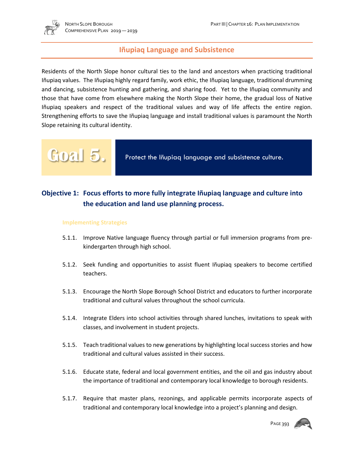



Residents of the North Slope honor cultural ties to the land and ancestors when practicing traditional Iñupiaq values. The Iñupiaq highly regard family, work ethic, the Iñupiaq language, traditional drumming and dancing, subsistence hunting and gathering, and sharing food. Yet to the Iñupiaq community and those that have come from elsewhere making the North Slope their home, the gradual loss of Native Iñupiaq speakers and respect of the traditional values and way of life affects the entire region. Strengthening efforts to save the Iñupiaq language and install traditional values is paramount the North Slope retaining its cultural identity.

Goal 5. Protect the Iñupiaq language and subsistence culture.

# **Objective 1: Focus efforts to more fully integrate Iñupiaq language and culture into the education and land use planning process.**

- 5.1.1. Improve Native language fluency through partial or full immersion programs from prekindergarten through high school.
- 5.1.2. Seek funding and opportunities to assist fluent Iñupiaq speakers to become certified teachers.
- 5.1.3. Encourage the North Slope Borough School District and educators to further incorporate traditional and cultural values throughout the school curricula.
- 5.1.4. Integrate Elders into school activities through shared lunches, invitations to speak with classes, and involvement in student projects.
- 5.1.5. Teach traditional values to new generations by highlighting local success stories and how traditional and cultural values assisted in their success.
- 5.1.6. Educate state, federal and local government entities, and the oil and gas industry about the importance of traditional and contemporary local knowledge to borough residents.
- 5.1.7. Require that master plans, rezonings, and applicable permits incorporate aspects of traditional and contemporary local knowledge into a project's planning and design.

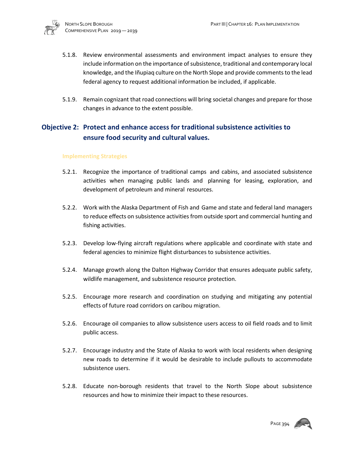

- 5.1.8. Review environmental assessments and environment impact analyses to ensure they include information on the importance of subsistence, traditional and contemporary local knowledge, and the Iñupiaq culture on the North Slope and provide comments to the lead federal agency to request additional information be included, if applicable.
- 5.1.9. Remain cognizant that road connections will bring societal changes and prepare for those changes in advance to the extent possible.

# **Objective 2: Protect and enhance access for traditional subsistence activities to ensure food security and cultural values.**

- 5.2.1. Recognize the importance of traditional camps and cabins, and associated subsistence activities when managing public lands and planning for leasing, exploration, and development of petroleum and mineral resources.
- 5.2.2. Work with the Alaska Department of Fish and Game and state and federal land managers to reduce effects on subsistence activities from outside sport and commercial hunting and fishing activities.
- 5.2.3. Develop low-flying aircraft regulations where applicable and coordinate with state and federal agencies to minimize flight disturbances to subsistence activities.
- 5.2.4. Manage growth along the Dalton Highway Corridor that ensures adequate public safety, wildlife management, and subsistence resource protection.
- 5.2.5. Encourage more research and coordination on studying and mitigating any potential effects of future road corridors on caribou migration.
- 5.2.6. Encourage oil companies to allow subsistence users access to oil field roads and to limit public access.
- 5.2.7. Encourage industry and the State of Alaska to work with local residents when designing new roads to determine if it would be desirable to include pullouts to accommodate subsistence users.
- 5.2.8. Educate non-borough residents that travel to the North Slope about subsistence resources and how to minimize their impact to these resources.

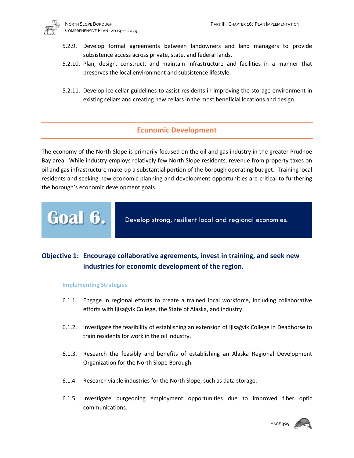- 5.2.9. Develop formal agreements between landowners and land managers to provide subsistence access across private, state, and federal lands.
- 5.2.10. Plan, design, construct, and maintain infrastructure and facilities in a manner that preserves the local environment and subsistence lifestyle.
- 5.2.11. Develop ice cellar guidelines to assist residents in improving the storage environment in existing cellars and creating new cellars in the most beneficial locations and design.

# **Economic Development**

The economy of the North Slope is primarily focused on the oil and gas industry in the greater Prudhoe Bay area. While industry employs relatively few North Slope residents, revenue from property taxes on oil and gas infrastructure make-up a substantial portion of the borough operating budget. Training local residents and seeking new economic planning and development opportunities are critical to furthering the borough's economic development goals.



Goal 6. Develop strong, resilient local and regional economies.

# **Objective 1: Encourage collaborative agreements, invest in training, and seek new industries for economic development of the region.**

- 6.1.1. Engage in regional efforts to create a trained local workforce, including collaborative efforts with Ilisagvik College, the State of Alaska, and industry.
- 6.1.2. Investigate the feasibility of establishing an extension of Iḷisaġvik College in Deadhorse to train residents for work in the oil industry.
- 6.1.3. Research the feasibly and benefits of establishing an Alaska Regional Development Organization for the North Slope Borough.
- 6.1.4. Research viable industries for the North Slope, such as data storage.
- 6.1.5. Investigate burgeoning employment opportunities due to improved fiber optic communications.

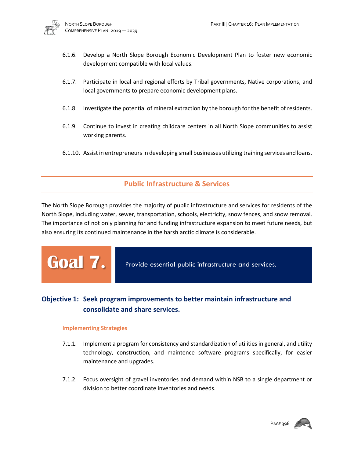

- 6.1.6. Develop a North Slope Borough Economic Development Plan to foster new economic development compatible with local values.
- 6.1.7. Participate in local and regional efforts by Tribal governments, Native corporations, and local governments to prepare economic development plans.
- 6.1.8. Investigate the potential of mineral extraction by the borough for the benefit of residents.
- 6.1.9. Continue to invest in creating childcare centers in all North Slope communities to assist working parents.
- 6.1.10. Assist in entrepreneurs in developing small businesses utilizing training services and loans.

# **Public Infrastructure & Services**

The North Slope Borough provides the majority of public infrastructure and services for residents of the North Slope, including water, sewer, transportation, schools, electricity, snow fences, and snow removal. The importance of not only planning for and funding infrastructure expansion to meet future needs, but also ensuring its continued maintenance in the harsh arctic climate is considerable.



# **Objective 1: Seek program improvements to better maintain infrastructure and consolidate and share services.**

- 7.1.1. Implement a program for consistency and standardization of utilities in general, and utility technology, construction, and maintence software programs specifically, for easier maintenance and upgrades.
- 7.1.2. Focus oversight of gravel inventories and demand within NSB to a single department or division to better coordinate inventories and needs.

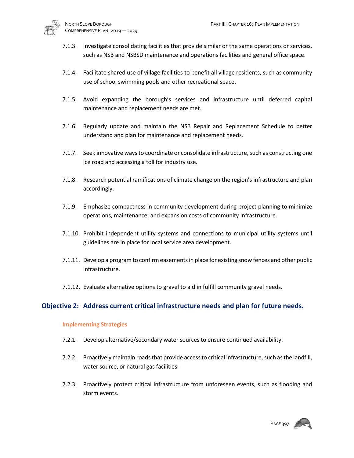- 7.1.3. Investigate consolidating facilities that provide similar or the same operations or services, such as NSB and NSBSD maintenance and operations facilities and general office space.
- 7.1.4. Facilitate shared use of village facilities to benefit all village residents, such as community use of school swimming pools and other recreational space.
- 7.1.5. Avoid expanding the borough's services and infrastructure until deferred capital maintenance and replacement needs are met.
- 7.1.6. Regularly update and maintain the NSB Repair and Replacement Schedule to better understand and plan for maintenance and replacement needs.
- 7.1.7. Seek innovative ways to coordinate or consolidate infrastructure, such as constructing one ice road and accessing a toll for industry use.
- 7.1.8. Research potential ramifications of climate change on the region's infrastructure and plan accordingly.
- 7.1.9. Emphasize compactness in community development during project planning to minimize operations, maintenance, and expansion costs of community infrastructure.
- 7.1.10. Prohibit independent utility systems and connections to municipal utility systems until guidelines are in place for local service area development.
- 7.1.11. Develop a program to confirm easements in place for existing snow fences and other public infrastructure.
- 7.1.12. Evaluate alternative options to gravel to aid in fulfill community gravel needs.

# **Objective 2: Address current critical infrastructure needs and plan for future needs.**

- 7.2.1. Develop alternative/secondary water sources to ensure continued availability.
- 7.2.2. Proactively maintain roads that provide access to critical infrastructure, such as the landfill, water source, or natural gas facilities.
- 7.2.3. Proactively protect critical infrastructure from unforeseen events, such as flooding and storm events.

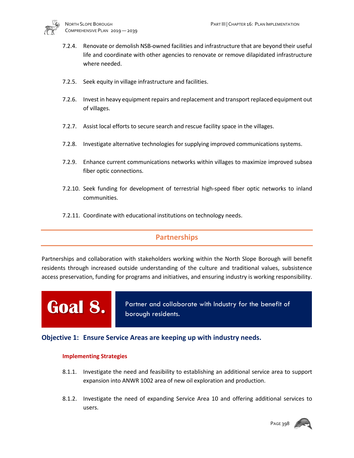

- 7.2.4. Renovate or demolish NSB-owned facilities and infrastructure that are beyond their useful life and coordinate with other agencies to renovate or remove dilapidated infrastructure where needed.
- 7.2.5. Seek equity in village infrastructure and facilities.
- 7.2.6. Invest in heavy equipment repairs and replacement and transport replaced equipment out of villages.
- 7.2.7. Assist local efforts to secure search and rescue facility space in the villages.
- 7.2.8. Investigate alternative technologies for supplying improved communications systems.
- 7.2.9. Enhance current communications networks within villages to maximize improved subsea fiber optic connections.
- 7.2.10. Seek funding for development of terrestrial high-speed fiber optic networks to inland communities.
- 7.2.11. Coordinate with educational institutions on technology needs.

# **Partnerships**

Partnerships and collaboration with stakeholders working within the North Slope Borough will benefit residents through increased outside understanding of the culture and traditional values, subsistence access preservation, funding for programs and initiatives, and ensuring industry is working responsibility.

**Goal 8.** Partner and collaborate with Industry for the benefit of borough residents.

# **Objective 1: Ensure Service Areas are keeping up with industry needs.**

- 8.1.1. Investigate the need and feasibility to establishing an additional service area to support expansion into ANWR 1002 area of new oil exploration and production.
- 8.1.2. Investigate the need of expanding Service Area 10 and offering additional services to users.

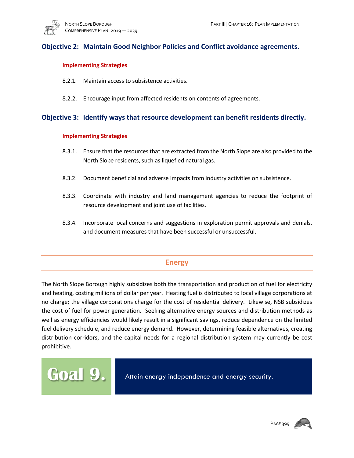# **Objective 2: Maintain Good Neighbor Policies and Conflict avoidance agreements.**

#### **Implementing Strategies**

- 8.2.1. Maintain access to subsistence activities.
- 8.2.2. Encourage input from affected residents on contents of agreements.

# **Objective 3: Identify ways that resource development can benefit residents directly.**

#### **Implementing Strategies**

- 8.3.1. Ensure that the resources that are extracted from the North Slope are also provided to the North Slope residents, such as liquefied natural gas.
- 8.3.2. Document beneficial and adverse impacts from industry activities on subsistence.
- 8.3.3. Coordinate with industry and land management agencies to reduce the footprint of resource development and joint use of facilities.
- 8.3.4. Incorporate local concerns and suggestions in exploration permit approvals and denials, and document measures that have been successful or unsuccessful.

# **Energy**

The North Slope Borough highly subsidizes both the transportation and production of fuel for electricity and heating, costing millions of dollar per year. Heating fuel is distributed to local village corporations at no charge; the village corporations charge for the cost of residential delivery. Likewise, NSB subsidizes the cost of fuel for power generation. Seeking alternative energy sources and distribution methods as well as energy efficiencies would likely result in a significant savings, reduce dependence on the limited fuel delivery schedule, and reduce energy demand. However, determining feasible alternatives, creating distribution corridors, and the capital needs for a regional distribution system may currently be cost prohibitive.



Goal 9. Attain energy independence and energy security.

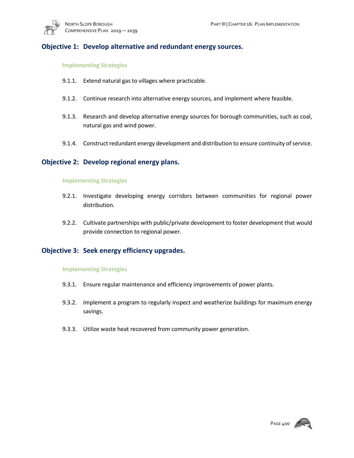

# **Objective 1: Develop alternative and redundant energy sources.**

#### **Implementing Strategies**

- 9.1.1. Extend natural gas to villages where practicable.
- 9.1.2. Continue research into alternative energy sources, and implement where feasible.
- 9.1.3. Research and develop alternative energy sources for borough communities, such as coal, natural gas and wind power.
- 9.1.4. Construct redundant energy development and distribution to ensure continuity of service.

# **Objective 2: Develop regional energy plans.**

#### **Implementing Strategies**

- 9.2.1. Investigate developing energy corridors between communities for regional power distribution.
- 9.2.2. Cultivate partnerships with public/private development to foster development that would provide connection to regional power.

# **Objective 3: Seek energy efficiency upgrades.**

- 9.3.1. Ensure regular maintenance and efficiency improvements of power plants.
- 9.3.2. Implement a program to regularly inspect and weatherize buildings for maximum energy savings.
- 9.3.3. Utilize waste heat recovered from community power generation.

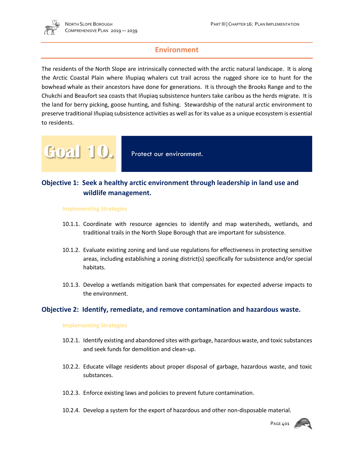

# **Environment**

The residents of the North Slope are intrinsically connected with the arctic natural landscape. It is along the Arctic Coastal Plain where Iñupiaq whalers cut trail across the rugged shore ice to hunt for the bowhead whale as their ancestors have done for generations. It is through the Brooks Range and to the Chukchi and Beaufort sea coasts that Iñupiaq subsistence hunters take caribou as the herds migrate. It is the land for berry picking, goose hunting, and fishing. Stewardship of the natural arctic environment to preserve traditional Iñupiaq subsistence activities as well as for its value as a unique ecosystem is essential to residents.



# **Objective 1: Seek a healthy arctic environment through leadership in land use and wildlife management.**

#### **Implementing Strategies**

- 10.1.1. Coordinate with resource agencies to identify and map watersheds, wetlands, and traditional trails in the North Slope Borough that are important for subsistence.
- 10.1.2. Evaluate existing zoning and land use regulations for effectiveness in protecting sensitive areas, including establishing a zoning district(s) specifically for subsistence and/or special habitats.
- 10.1.3. Develop a wetlands mitigation bank that compensates for expected adverse impacts to the environment.

# **Objective 2: Identify, remediate, and remove contamination and hazardous waste.**

- 10.2.1. Identify existing and abandoned sites with garbage, hazardous waste, and toxic substances and seek funds for demolition and clean-up.
- 10.2.2. Educate village residents about proper disposal of garbage, hazardous waste, and toxic substances.
- 10.2.3. Enforce existing laws and policies to prevent future contamination.
- 10.2.4. Develop a system for the export of hazardous and other non-disposable material.

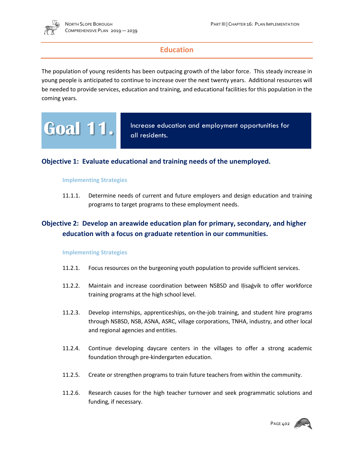

# **Education**

The population of young residents has been outpacing growth of the labor force. This steady increase in young people is anticipated to continue to increase over the next twenty years. Additional resources will be needed to provide services, education and training, and educational facilities for this population in the coming years.

# **Goal 11.**

Increase education and employment opportunities for all residents.

# **Objective 1: Evaluate educational and training needs of the unemployed.**

# **Implementing Strategies**

11.1.1. Determine needs of current and future employers and design education and training programs to target programs to these employment needs.

# **Objective 2: Develop an areawide education plan for primary, secondary, and higher education with a focus on graduate retention in our communities.**

- 11.2.1. Focus resources on the burgeoning youth population to provide sufficient services.
- 11.2.2. Maintain and increase coordination between NSBSD and Iḷisaġvik to offer workforce training programs at the high school level.
- 11.2.3. Develop internships, apprenticeships, on-the-job training, and student hire programs through NSBSD, NSB, ASNA, ASRC, village corporations, TNHA, industry, and other local and regional agencies and entities.
- 11.2.4. Continue developing daycare centers in the villages to offer a strong academic foundation through pre-kindergarten education.
- 11.2.5. Create or strengthen programs to train future teachers from within the community.
- 11.2.6. Research causes for the high teacher turnover and seek programmatic solutions and funding, if necessary.

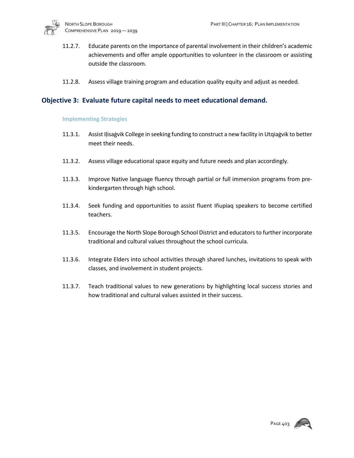

- 11.2.7. Educate parents on the importance of parental involvement in their children's academic achievements and offer ample opportunities to volunteer in the classroom or assisting outside the classroom.
- 11.2.8. Assess village training program and education quality equity and adjust as needed.

# **Objective 3: Evaluate future capital needs to meet educational demand.**

- 11.3.1. Assist Iḷisaġvik College in seeking funding to construct a new facility in Utqiaġvik to better meet their needs.
- 11.3.2. Assess village educational space equity and future needs and plan accordingly.
- 11.3.3. Improve Native language fluency through partial or full immersion programs from prekindergarten through high school.
- 11.3.4. Seek funding and opportunities to assist fluent Iñupiaq speakers to become certified teachers.
- 11.3.5. Encourage the North Slope Borough School District and educators to further incorporate traditional and cultural values throughout the school curricula.
- 11.3.6. Integrate Elders into school activities through shared lunches, invitations to speak with classes, and involvement in student projects.
- 11.3.7. Teach traditional values to new generations by highlighting local success stories and how traditional and cultural values assisted in their success.

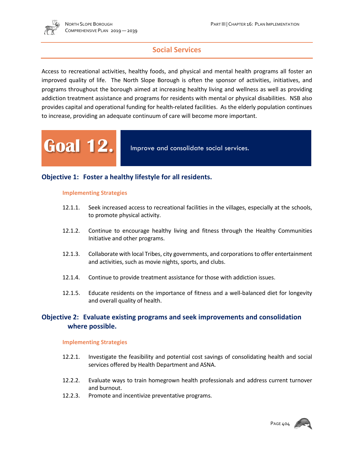

# **Social Services**

Access to recreational activities, healthy foods, and physical and mental health programs all foster an improved quality of life. The North Slope Borough is often the sponsor of activities, initiatives, and programs throughout the borough aimed at increasing healthy living and wellness as well as providing addiction treatment assistance and programs for residents with mental or physical disabilities. NSB also provides capital and operational funding for health-related facilities. As the elderly population continues to increase, providing an adequate continuum of care will become more important.



# **Objective 1: Foster a healthy lifestyle for all residents.**

# **Implementing Strategies**

- 12.1.1. Seek increased access to recreational facilities in the villages, especially at the schools, to promote physical activity.
- 12.1.2. Continue to encourage healthy living and fitness through the Healthy Communities Initiative and other programs.
- 12.1.3. Collaborate with local Tribes, city governments, and corporations to offer entertainment and activities, such as movie nights, sports, and clubs.
- 12.1.4. Continue to provide treatment assistance for those with addiction issues.
- 12.1.5. Educate residents on the importance of fitness and a well-balanced diet for longevity and overall quality of health.

# **Objective 2: Evaluate existing programs and seek improvements and consolidation where possible.**

- 12.2.1. Investigate the feasibility and potential cost savings of consolidating health and social services offered by Health Department and ASNA.
- 12.2.2. Evaluate ways to train homegrown health professionals and address current turnover and burnout.
- 12.2.3. Promote and incentivize preventative programs.

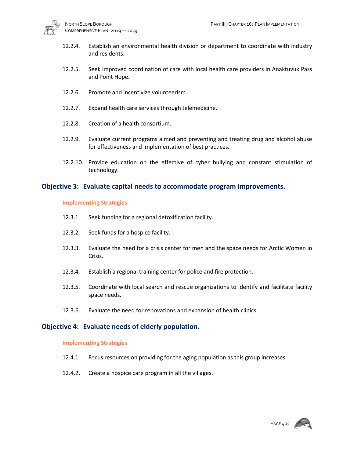

- 12.2.4. Establish an environmental health division or department to coordinate with industry and residents.
- 12.2.5. Seek improved coordination of care with local health care providers in Anaktuvuk Pass and Point Hope.
- 12.2.6. Promote and incentivize volunteerism.
- 12.2.7. Expand health care services through telemedicine.
- 12.2.8. Creation of a health consortium.
- 12.2.9. Evaluate current programs aimed and preventing and treating drug and alcohol abuse for effectiveness and implementation of best practices.
- 12.2.10. Provide education on the effective of cyber bullying and constant stimulation of technology.

# **Objective 3: Evaluate capital needs to accommodate program improvements.**

#### **Implementing Strategies**

- 12.3.1. Seek funding for a regional detoxification facility.
- 12.3.2. Seek funds for a hospice facility.
- 12.3.3. Evaluate the need for a crisis center for men and the space needs for Arctic Women in Crisis.
- 12.3.4. Establish a regional training center for police and fire protection.
- 12.3.5. Coordinate with local search and rescue organizations to identify and facilitate facility space needs.
- 12.3.6. Evaluate the need for renovations and expansion of health clinics.

# **Objective 4: Evaluate needs of elderly population.**

- 12.4.1. Focus resources on providing for the aging population as this group increases.
- 12.4.2. Create a hospice care program in all the villages.

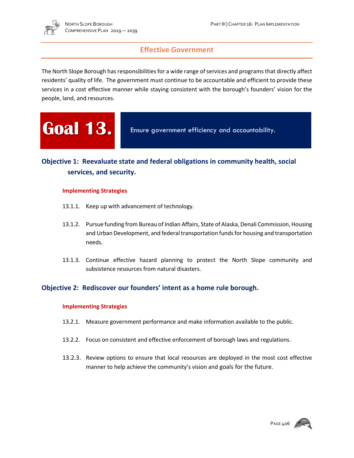# **Effective Government**

The North Slope Borough has responsibilities for a wide range of services and programs that directly affect residents' quality of life. The government must continue to be accountable and efficient to provide these services in a cost effective manner while staying consistent with the borough's founders' vision for the people, land, and resources.

Goal 13. Ensure government efficiency and accountability.

# **Objective 1: Reevaluate state and federal obligations in community health, social services, and security.**

# **Implementing Strategies**

- 13.1.1. Keep up with advancement of technology.
- 13.1.2. Pursue funding from Bureau of Indian Affairs, State of Alaska, Denali Commission, Housing and Urban Development, and federal transportation funds for housing and transportation needs.
- 13.1.3. Continue effective hazard planning to protect the North Slope community and subsistence resources from natural disasters.

# **Objective 2: Rediscover our founders' intent as a home rule borough.**

- 13.2.1. Measure government performance and make information available to the public.
- 13.2.2. Focus on consistent and effective enforcement of borough laws and regulations.
- 13.2.3. Review options to ensure that local resources are deployed in the most cost effective manner to help achieve the community's vision and goals for the future.

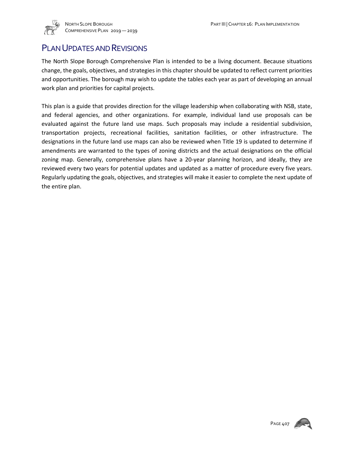

# PLAN UPDATES AND REVISIONS

The North Slope Borough Comprehensive Plan is intended to be a living document. Because situations change, the goals, objectives, and strategies in this chapter should be updated to reflect current priorities and opportunities. The borough may wish to update the tables each year as part of developing an annual work plan and priorities for capital projects.

This plan is a guide that provides direction for the village leadership when collaborating with NSB, state, and federal agencies, and other organizations. For example, individual land use proposals can be evaluated against the future land use maps. Such proposals may include a residential subdivision, transportation projects, recreational facilities, sanitation facilities, or other infrastructure. The designations in the future land use maps can also be reviewed when Title 19 is updated to determine if amendments are warranted to the types of zoning districts and the actual designations on the official zoning map. Generally, comprehensive plans have a 20-year planning horizon, and ideally, they are reviewed every two years for potential updates and updated as a matter of procedure every five years. Regularly updating the goals, objectives, and strategies will make it easier to complete the next update of the entire plan.